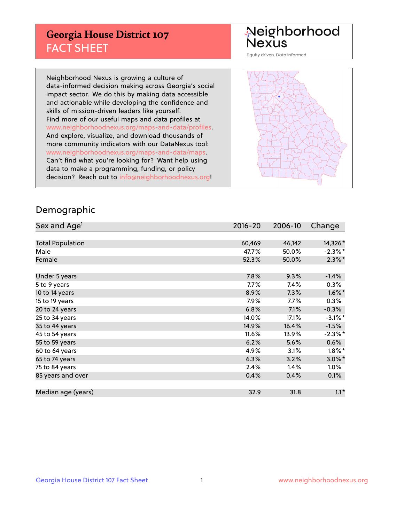## **Georgia House District 107** FACT SHEET

# Neighborhood<br>Nexus

Equity driven. Data informed.

Neighborhood Nexus is growing a culture of data-informed decision making across Georgia's social impact sector. We do this by making data accessible and actionable while developing the confidence and skills of mission-driven leaders like yourself. Find more of our useful maps and data profiles at www.neighborhoodnexus.org/maps-and-data/profiles. And explore, visualize, and download thousands of more community indicators with our DataNexus tool: www.neighborhoodnexus.org/maps-and-data/maps. Can't find what you're looking for? Want help using data to make a programming, funding, or policy decision? Reach out to [info@neighborhoodnexus.org!](mailto:info@neighborhoodnexus.org)



### Demographic

| Sex and Age <sup>1</sup> | $2016 - 20$ | 2006-10 | Change     |
|--------------------------|-------------|---------|------------|
|                          |             |         |            |
| <b>Total Population</b>  | 60,469      | 46,142  | 14,326*    |
| Male                     | 47.7%       | 50.0%   | $-2.3\%$ * |
| Female                   | 52.3%       | 50.0%   | $2.3\%$ *  |
|                          |             |         |            |
| Under 5 years            | 7.8%        | 9.3%    | $-1.4%$    |
| 5 to 9 years             | 7.7%        | 7.4%    | $0.3\%$    |
| 10 to 14 years           | 8.9%        | 7.3%    | $1.6\%$ *  |
| 15 to 19 years           | 7.9%        | 7.7%    | 0.3%       |
| 20 to 24 years           | 6.8%        | 7.1%    | $-0.3%$    |
| 25 to 34 years           | 14.0%       | 17.1%   | $-3.1\%$ * |
| 35 to 44 years           | 14.9%       | 16.4%   | $-1.5%$    |
| 45 to 54 years           | 11.6%       | 13.9%   | $-2.3%$ *  |
| 55 to 59 years           | 6.2%        | 5.6%    | 0.6%       |
| 60 to 64 years           | 4.9%        | 3.1%    | $1.8\%$ *  |
| 65 to 74 years           | 6.3%        | 3.2%    | $3.0\%$ *  |
| 75 to 84 years           | 2.4%        | 1.4%    | $1.0\%$    |
| 85 years and over        | 0.4%        | 0.4%    | 0.1%       |
|                          |             |         |            |
| Median age (years)       | 32.9        | 31.8    | $1.1*$     |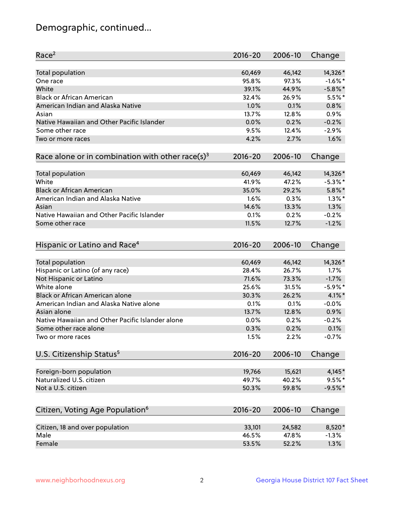## Demographic, continued...

| Race <sup>2</sup>                                            | $2016 - 20$ | 2006-10 | Change     |
|--------------------------------------------------------------|-------------|---------|------------|
| <b>Total population</b>                                      | 60,469      | 46,142  | 14,326*    |
| One race                                                     | 95.8%       | 97.3%   | $-1.6\%$ * |
| White                                                        | 39.1%       | 44.9%   | $-5.8\%$ * |
| <b>Black or African American</b>                             | 32.4%       | 26.9%   | $5.5%$ *   |
| American Indian and Alaska Native                            | 1.0%        | 0.1%    | 0.8%       |
| Asian                                                        | 13.7%       | 12.8%   | 0.9%       |
| Native Hawaiian and Other Pacific Islander                   | 0.0%        | 0.2%    | $-0.2%$    |
| Some other race                                              | 9.5%        | 12.4%   | $-2.9%$    |
| Two or more races                                            | 4.2%        | 2.7%    | 1.6%       |
| Race alone or in combination with other race(s) <sup>3</sup> | $2016 - 20$ | 2006-10 | Change     |
| Total population                                             | 60,469      | 46,142  | 14,326*    |
| White                                                        | 41.9%       | 47.2%   | $-5.3\%$ * |
| <b>Black or African American</b>                             | 35.0%       | 29.2%   | $5.8\%$ *  |
| American Indian and Alaska Native                            | 1.6%        | 0.3%    | $1.3\%$ *  |
| Asian                                                        | 14.6%       | 13.3%   | 1.3%       |
| Native Hawaiian and Other Pacific Islander                   | 0.1%        | 0.2%    | $-0.2%$    |
|                                                              | 11.5%       | 12.7%   | $-1.2%$    |
| Some other race                                              |             |         |            |
| Hispanic or Latino and Race <sup>4</sup>                     | $2016 - 20$ | 2006-10 | Change     |
| Total population                                             | 60,469      | 46,142  | 14,326*    |
| Hispanic or Latino (of any race)                             | 28.4%       | 26.7%   | 1.7%       |
| Not Hispanic or Latino                                       | 71.6%       | 73.3%   | $-1.7%$    |
| White alone                                                  | 25.6%       | 31.5%   | $-5.9\%$ * |
| <b>Black or African American alone</b>                       | 30.3%       | 26.2%   | 4.1%*      |
| American Indian and Alaska Native alone                      | 0.1%        | 0.1%    | $-0.0%$    |
| Asian alone                                                  | 13.7%       | 12.8%   | 0.9%       |
| Native Hawaiian and Other Pacific Islander alone             | 0.0%        | 0.2%    | $-0.2%$    |
| Some other race alone                                        | 0.3%        | 0.2%    | 0.1%       |
| Two or more races                                            | 1.5%        | 2.2%    | $-0.7%$    |
| U.S. Citizenship Status <sup>5</sup>                         | $2016 - 20$ | 2006-10 | Change     |
|                                                              |             |         |            |
| Foreign-born population                                      | 19,766      | 15,621  | 4,145*     |
| Naturalized U.S. citizen                                     | 49.7%       | 40.2%   | $9.5%$ *   |
| Not a U.S. citizen                                           | 50.3%       | 59.8%   | $-9.5%$ *  |
| Citizen, Voting Age Population <sup>6</sup>                  | $2016 - 20$ | 2006-10 | Change     |
| Citizen, 18 and over population                              | 33,101      | 24,582  | 8,520*     |
| Male                                                         | 46.5%       | 47.8%   | $-1.3%$    |
| Female                                                       | 53.5%       | 52.2%   | 1.3%       |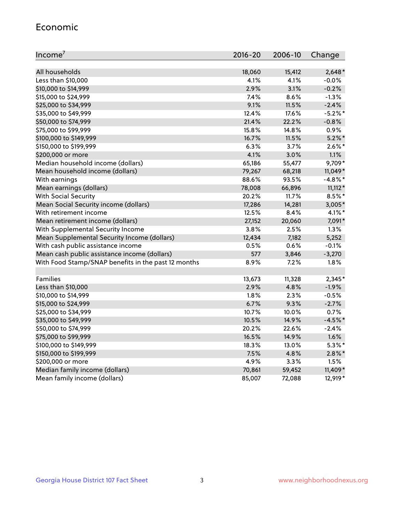#### Economic

| Income <sup>7</sup>                                 | $2016 - 20$ | 2006-10 | Change     |
|-----------------------------------------------------|-------------|---------|------------|
|                                                     |             |         |            |
| All households                                      | 18,060      | 15,412  | $2,648*$   |
| Less than \$10,000                                  | 4.1%        | 4.1%    | $-0.0%$    |
| \$10,000 to \$14,999                                | 2.9%        | 3.1%    | $-0.2%$    |
| \$15,000 to \$24,999                                | 7.4%        | 8.6%    | $-1.3%$    |
| \$25,000 to \$34,999                                | 9.1%        | 11.5%   | $-2.4%$    |
| \$35,000 to \$49,999                                | 12.4%       | 17.6%   | $-5.2%$ *  |
| \$50,000 to \$74,999                                | 21.4%       | 22.2%   | $-0.8%$    |
| \$75,000 to \$99,999                                | 15.8%       | 14.8%   | 0.9%       |
| \$100,000 to \$149,999                              | 16.7%       | 11.5%   | $5.2\%$ *  |
| \$150,000 to \$199,999                              | 6.3%        | 3.7%    | $2.6\%$ *  |
| \$200,000 or more                                   | 4.1%        | 3.0%    | 1.1%       |
| Median household income (dollars)                   | 65,186      | 55,477  | 9,709*     |
| Mean household income (dollars)                     | 79,267      | 68,218  | $11,049*$  |
| With earnings                                       | 88.6%       | 93.5%   | $-4.8\%$ * |
| Mean earnings (dollars)                             | 78,008      | 66,896  | $11,112*$  |
| <b>With Social Security</b>                         | 20.2%       | 11.7%   | $8.5%$ *   |
| Mean Social Security income (dollars)               | 17,286      | 14,281  | $3,005*$   |
| With retirement income                              | 12.5%       | 8.4%    | 4.1%*      |
| Mean retirement income (dollars)                    | 27,152      | 20,060  | 7,091*     |
| With Supplemental Security Income                   | 3.8%        | 2.5%    | 1.3%       |
| Mean Supplemental Security Income (dollars)         | 12,434      | 7,182   | 5,252      |
| With cash public assistance income                  | 0.5%        | 0.6%    | $-0.1%$    |
| Mean cash public assistance income (dollars)        | 577         | 3,846   | $-3,270$   |
| With Food Stamp/SNAP benefits in the past 12 months | 8.9%        | 7.2%    | 1.8%       |
|                                                     |             |         |            |
| Families                                            | 13,673      | 11,328  | 2,345*     |
| Less than \$10,000                                  | 2.9%        | 4.8%    | $-1.9%$    |
| \$10,000 to \$14,999                                | 1.8%        | 2.3%    | $-0.5%$    |
| \$15,000 to \$24,999                                | 6.7%        | 9.3%    | $-2.7%$    |
| \$25,000 to \$34,999                                | 10.7%       | 10.0%   | 0.7%       |
| \$35,000 to \$49,999                                | 10.5%       | 14.9%   | $-4.5%$ *  |
| \$50,000 to \$74,999                                | 20.2%       | 22.6%   | $-2.4%$    |
| \$75,000 to \$99,999                                | 16.5%       | 14.9%   | 1.6%       |
| \$100,000 to \$149,999                              | 18.3%       | 13.0%   | $5.3\%$ *  |
| \$150,000 to \$199,999                              | 7.5%        | 4.8%    | $2.8\%$ *  |
| \$200,000 or more                                   | 4.9%        | 3.3%    | 1.5%       |
| Median family income (dollars)                      | 70,861      | 59,452  | 11,409*    |
| Mean family income (dollars)                        | 85,007      | 72,088  | 12,919*    |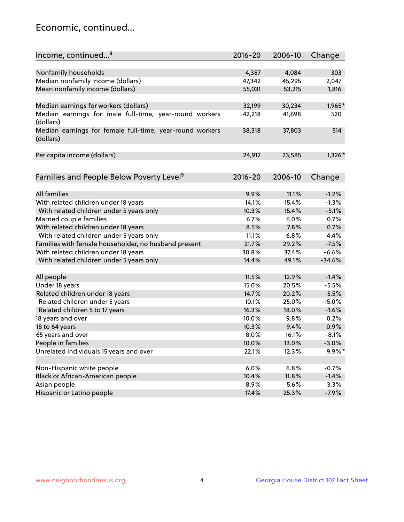## Economic, continued...

| Income, continued <sup>8</sup>                                        | $2016 - 20$ | 2006-10       | Change    |
|-----------------------------------------------------------------------|-------------|---------------|-----------|
|                                                                       |             |               |           |
| Nonfamily households                                                  | 4,387       | 4,084         | 303       |
| Median nonfamily income (dollars)                                     | 47,342      | 45,295        | 2,047     |
| Mean nonfamily income (dollars)                                       | 55,031      | 53,215        | 1,816     |
| Median earnings for workers (dollars)                                 | 32,199      | 30,234        | 1,965*    |
| Median earnings for male full-time, year-round workers                | 42,218      | 41,698        | 520       |
| (dollars)                                                             |             |               |           |
| Median earnings for female full-time, year-round workers<br>(dollars) | 38,318      | 37,803        | 514       |
| Per capita income (dollars)                                           | 24,912      | 23,585        | $1,326*$  |
|                                                                       |             |               |           |
| Families and People Below Poverty Level <sup>9</sup>                  | $2016 - 20$ | 2006-10       | Change    |
|                                                                       |             |               |           |
| <b>All families</b>                                                   | 9.9%        | 11.1%         | $-1.2%$   |
| With related children under 18 years                                  | 14.1%       | 15.4%         | $-1.3%$   |
| With related children under 5 years only                              | 10.3%       | 15.4%         | $-5.1%$   |
| Married couple families                                               | 6.7%        | 6.0%          | 0.7%      |
| With related children under 18 years                                  | 8.5%        | 7.8%          | 0.7%      |
| With related children under 5 years only                              | 11.1%       | 6.8%          | 4.4%      |
| Families with female householder, no husband present                  | 21.7%       | 29.2%         | $-7.5%$   |
| With related children under 18 years                                  | 30.8%       | 37.4%         | $-6.6%$   |
| With related children under 5 years only                              | 14.4%       | 49.1%         | $-34.6%$  |
| All people                                                            | 11.5%       | 12.9%         | $-1.4%$   |
| Under 18 years                                                        | 15.0%       | 20.5%         | $-5.5%$   |
| Related children under 18 years                                       | 14.7%       | 20.2%         | $-5.5%$   |
| Related children under 5 years                                        | 10.1%       | 25.0%         | $-15.0%$  |
| Related children 5 to 17 years                                        | 16.3%       | 18.0%         | $-1.6%$   |
| 18 years and over                                                     | 10.0%       | 9.8%          | 0.2%      |
| 18 to 64 years                                                        | 10.3%       | 9.4%          | 0.9%      |
| 65 years and over                                                     | 8.0%        | 16.1%         | $-8.1%$   |
| People in families                                                    | 10.0%       | 13.0%         | $-3.0%$   |
| Unrelated individuals 15 years and over                               |             |               | $9.9\%$ * |
|                                                                       | 22.1%       | 12.3%         |           |
| Non-Hispanic white people                                             | 6.0%        | 6.8%          | $-0.7%$   |
|                                                                       | 10.4%       |               | $-1.4%$   |
| Black or African-American people<br>Asian people                      | 8.9%        | 11.8%<br>5.6% | 3.3%      |
|                                                                       | 17.4%       |               | $-7.9%$   |
| Hispanic or Latino people                                             |             | 25.3%         |           |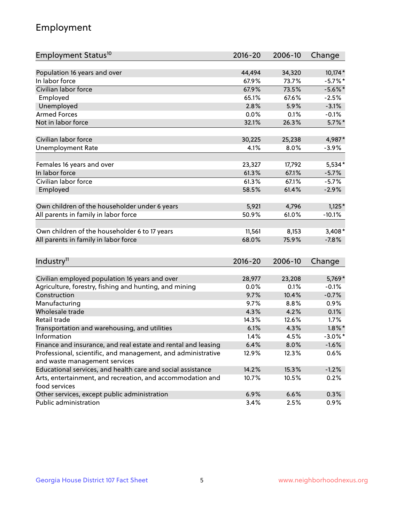## Employment

| Employment Status <sup>10</sup>                                                               | $2016 - 20$ | 2006-10 | Change     |
|-----------------------------------------------------------------------------------------------|-------------|---------|------------|
|                                                                                               |             |         |            |
| Population 16 years and over                                                                  | 44,494      | 34,320  | 10,174*    |
| In labor force                                                                                | 67.9%       | 73.7%   | $-5.7%$ *  |
| Civilian labor force                                                                          | 67.9%       | 73.5%   | $-5.6\%$ * |
| Employed                                                                                      | 65.1%       | 67.6%   | $-2.5%$    |
| Unemployed                                                                                    | 2.8%        | 5.9%    | $-3.1%$    |
| <b>Armed Forces</b>                                                                           | 0.0%        | 0.1%    | $-0.1%$    |
| Not in labor force                                                                            | 32.1%       | 26.3%   | $5.7\%$ *  |
| Civilian labor force                                                                          | 30,225      | 25,238  | 4,987*     |
| <b>Unemployment Rate</b>                                                                      | 4.1%        | 8.0%    | $-3.9%$    |
|                                                                                               |             |         |            |
| Females 16 years and over                                                                     | 23,327      | 17,792  | $5,534*$   |
| In labor force                                                                                | 61.3%       | 67.1%   | $-5.7%$    |
| Civilian labor force                                                                          | 61.3%       | 67.1%   | $-5.7%$    |
| Employed                                                                                      | 58.5%       | 61.4%   | $-2.9%$    |
|                                                                                               |             |         |            |
| Own children of the householder under 6 years                                                 | 5,921       | 4,796   | $1,125*$   |
| All parents in family in labor force                                                          | 50.9%       | 61.0%   | $-10.1%$   |
|                                                                                               |             |         |            |
| Own children of the householder 6 to 17 years                                                 | 11,561      | 8,153   | $3,408*$   |
| All parents in family in labor force                                                          | 68.0%       | 75.9%   | $-7.8%$    |
|                                                                                               |             |         |            |
| Industry <sup>11</sup>                                                                        | $2016 - 20$ | 2006-10 | Change     |
|                                                                                               |             |         |            |
| Civilian employed population 16 years and over                                                | 28,977      | 23,208  | 5,769*     |
| Agriculture, forestry, fishing and hunting, and mining                                        | 0.0%        | 0.1%    | $-0.1%$    |
| Construction                                                                                  | 9.7%        | 10.4%   | $-0.7%$    |
| Manufacturing                                                                                 | 9.7%        | 8.8%    | 0.9%       |
| Wholesale trade                                                                               | 4.3%        | 4.2%    | 0.1%       |
| Retail trade                                                                                  | 14.3%       | 12.6%   | 1.7%       |
| Transportation and warehousing, and utilities                                                 | 6.1%        | 4.3%    | $1.8\%$ *  |
| Information                                                                                   | 1.4%        | 4.5%    | $-3.0\%$ * |
| Finance and insurance, and real estate and rental and leasing                                 | 6.4%        | 8.0%    | $-1.6%$    |
| Professional, scientific, and management, and administrative<br>and waste management services | 12.9%       | 12.3%   | 0.6%       |
| Educational services, and health care and social assistance                                   | 14.2%       | 15.3%   | $-1.2%$    |
|                                                                                               |             |         |            |
| Arts, entertainment, and recreation, and accommodation and<br>food services                   | 10.7%       | 10.5%   | 0.2%       |
| Other services, except public administration                                                  | 6.9%        | 6.6%    | 0.3%       |
| Public administration                                                                         | 3.4%        | 2.5%    | 0.9%       |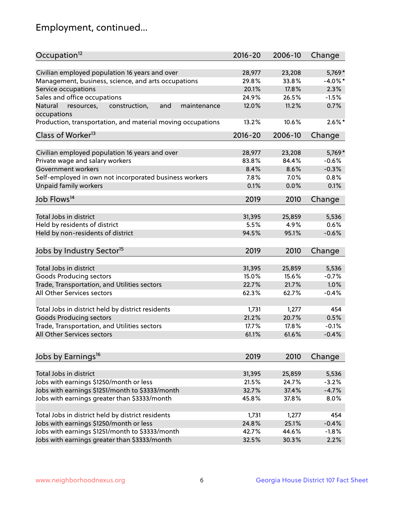## Employment, continued...

| Occupation <sup>12</sup>                                    | $2016 - 20$ | 2006-10 | Change     |
|-------------------------------------------------------------|-------------|---------|------------|
| Civilian employed population 16 years and over              | 28,977      | 23,208  | 5,769*     |
| Management, business, science, and arts occupations         | 29.8%       | 33.8%   | $-4.0\%$ * |
| Service occupations                                         | 20.1%       | 17.8%   | 2.3%       |
| Sales and office occupations                                | 24.9%       | 26.5%   | $-1.5%$    |
| and<br>Natural<br>maintenance                               | 12.0%       | 11.2%   | 0.7%       |
| resources,<br>construction,<br>occupations                  |             |         |            |
| Production, transportation, and material moving occupations | 13.2%       | 10.6%   | $2.6\%$ *  |
| Class of Worker <sup>13</sup>                               | $2016 - 20$ | 2006-10 | Change     |
|                                                             | 28,977      | 23,208  | 5,769*     |
| Civilian employed population 16 years and over              |             |         |            |
| Private wage and salary workers                             | 83.8%       | 84.4%   | $-0.6%$    |
| Government workers                                          | 8.4%        | 8.6%    | $-0.3%$    |
| Self-employed in own not incorporated business workers      | 7.8%        | 7.0%    | 0.8%       |
| Unpaid family workers                                       | 0.1%        | 0.0%    | 0.1%       |
| Job Flows <sup>14</sup>                                     | 2019        | 2010    | Change     |
|                                                             |             |         |            |
| Total Jobs in district                                      | 31,395      | 25,859  | 5,536      |
| Held by residents of district                               | 5.5%        | 4.9%    | 0.6%       |
| Held by non-residents of district                           | 94.5%       | 95.1%   | $-0.6%$    |
| Jobs by Industry Sector <sup>15</sup>                       | 2019        | 2010    | Change     |
| Total Jobs in district                                      | 31,395      |         | 5,536      |
|                                                             |             | 25,859  |            |
| Goods Producing sectors                                     | 15.0%       | 15.6%   | $-0.7%$    |
| Trade, Transportation, and Utilities sectors                | 22.7%       | 21.7%   | 1.0%       |
| All Other Services sectors                                  | 62.3%       | 62.7%   | $-0.4%$    |
| Total Jobs in district held by district residents           | 1,731       | 1,277   | 454        |
| <b>Goods Producing sectors</b>                              | 21.2%       | 20.7%   | 0.5%       |
| Trade, Transportation, and Utilities sectors                | 17.7%       | 17.8%   | $-0.1%$    |
| All Other Services sectors                                  | 61.1%       | 61.6%   | $-0.4%$    |
|                                                             |             |         |            |
| Jobs by Earnings <sup>16</sup>                              | 2019        | 2010    | Change     |
|                                                             |             |         |            |
| Total Jobs in district                                      | 31,395      | 25,859  | 5,536      |
| Jobs with earnings \$1250/month or less                     | 21.5%       | 24.7%   | $-3.2%$    |
| Jobs with earnings \$1251/month to \$3333/month             | 32.7%       | 37.4%   | $-4.7%$    |
| Jobs with earnings greater than \$3333/month                | 45.8%       | 37.8%   | 8.0%       |
| Total Jobs in district held by district residents           | 1,731       | 1,277   | 454        |
| Jobs with earnings \$1250/month or less                     | 24.8%       | 25.1%   | $-0.4%$    |
| Jobs with earnings \$1251/month to \$3333/month             | 42.7%       | 44.6%   | $-1.8%$    |
| Jobs with earnings greater than \$3333/month                | 32.5%       | 30.3%   | 2.2%       |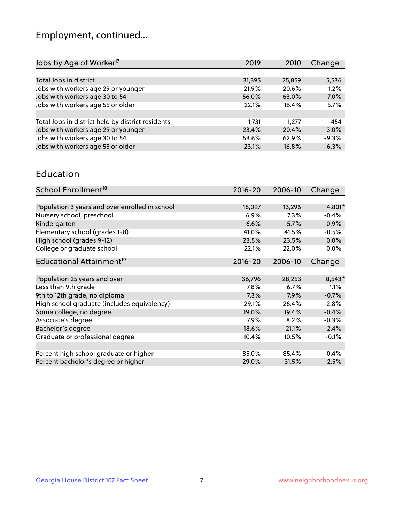## Employment, continued...

| 5,536   |
|---------|
| 1.2%    |
| $-7.0%$ |
| 5.7%    |
|         |
| 454     |
| 3.0%    |
| $-9.3%$ |
| 6.3%    |
|         |

#### Education

| School Enrollment <sup>18</sup>                | $2016 - 20$ | 2006-10 | Change   |
|------------------------------------------------|-------------|---------|----------|
|                                                |             |         |          |
| Population 3 years and over enrolled in school | 18,097      | 13,296  | 4,801*   |
| Nursery school, preschool                      | 6.9%        | $7.3\%$ | $-0.4%$  |
| Kindergarten                                   | 6.6%        | 5.7%    | 0.9%     |
| Elementary school (grades 1-8)                 | 41.0%       | 41.5%   | $-0.5%$  |
| High school (grades 9-12)                      | 23.5%       | 23.5%   | $0.0\%$  |
| College or graduate school                     | 22.1%       | 22.0%   | 0.0%     |
| Educational Attainment <sup>19</sup>           | $2016 - 20$ | 2006-10 | Change   |
|                                                |             |         |          |
| Population 25 years and over                   | 36,796      | 28,253  | $8,543*$ |
| Less than 9th grade                            | 7.8%        | 6.7%    | 1.1%     |
| 9th to 12th grade, no diploma                  | 7.3%        | 7.9%    | $-0.7%$  |
| High school graduate (includes equivalency)    | 29.1%       | 26.4%   | 2.8%     |
| Some college, no degree                        | 19.0%       | 19.4%   | $-0.4%$  |
| Associate's degree                             | 7.9%        | 8.2%    | $-0.3%$  |
| Bachelor's degree                              | 18.6%       | 21.1%   | $-2.4%$  |
| Graduate or professional degree                | 10.4%       | 10.5%   | $-0.1%$  |
|                                                |             |         |          |
| Percent high school graduate or higher         | 85.0%       | 85.4%   | $-0.4%$  |
| Percent bachelor's degree or higher            | 29.0%       | 31.5%   | $-2.5%$  |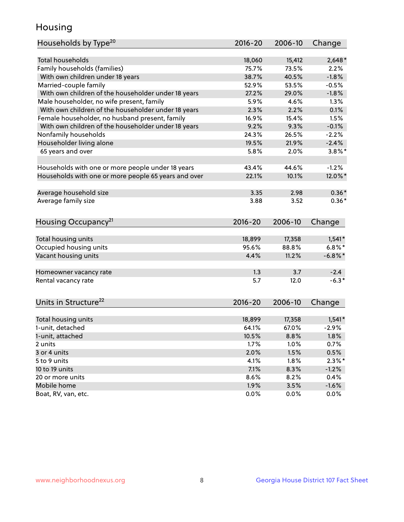## Housing

| Households by Type <sup>20</sup>                     | 2016-20     | 2006-10 | Change     |
|------------------------------------------------------|-------------|---------|------------|
|                                                      |             |         |            |
| <b>Total households</b>                              | 18,060      | 15,412  | $2,648*$   |
| Family households (families)                         | 75.7%       | 73.5%   | 2.2%       |
| With own children under 18 years                     | 38.7%       | 40.5%   | $-1.8%$    |
| Married-couple family                                | 52.9%       | 53.5%   | $-0.5%$    |
| With own children of the householder under 18 years  | 27.2%       | 29.0%   | $-1.8%$    |
| Male householder, no wife present, family            | 5.9%        | 4.6%    | 1.3%       |
| With own children of the householder under 18 years  | 2.3%        | 2.2%    | 0.1%       |
| Female householder, no husband present, family       | 16.9%       | 15.4%   | 1.5%       |
| With own children of the householder under 18 years  | 9.2%        | 9.3%    | $-0.1%$    |
| Nonfamily households                                 | 24.3%       | 26.5%   | $-2.2%$    |
| Householder living alone                             | 19.5%       | 21.9%   | $-2.4%$    |
| 65 years and over                                    | 5.8%        | 2.0%    | $3.8\%$ *  |
|                                                      |             |         |            |
| Households with one or more people under 18 years    | 43.4%       | 44.6%   | $-1.2%$    |
| Households with one or more people 65 years and over | 22.1%       | 10.1%   | 12.0%*     |
|                                                      |             |         |            |
| Average household size                               | 3.35        | 2.98    | $0.36*$    |
| Average family size                                  | 3.88        | 3.52    | $0.36*$    |
|                                                      |             |         |            |
| Housing Occupancy <sup>21</sup>                      | $2016 - 20$ | 2006-10 | Change     |
|                                                      |             |         |            |
| Total housing units                                  | 18,899      | 17,358  | $1,541*$   |
| Occupied housing units                               | 95.6%       | 88.8%   | $6.8\%$ *  |
| Vacant housing units                                 | 4.4%        | 11.2%   | $-6.8\%$ * |
|                                                      |             |         |            |
| Homeowner vacancy rate                               | 1.3         | 3.7     | $-2.4$     |
| Rental vacancy rate                                  | 5.7         | 12.0    | $-6.3*$    |
|                                                      |             |         |            |
| Units in Structure <sup>22</sup>                     | $2016 - 20$ | 2006-10 | Change     |
|                                                      |             |         |            |
| Total housing units                                  | 18,899      | 17,358  | $1,541*$   |
| 1-unit, detached                                     | 64.1%       | 67.0%   | $-2.9%$    |
| 1-unit, attached                                     | 10.5%       | 8.8%    | 1.8%       |
| 2 units                                              | 1.7%        | 1.0%    | 0.7%       |
| 3 or 4 units                                         | 2.0%        | 1.5%    | 0.5%       |
| 5 to 9 units                                         | 4.1%        | 1.8%    | $2.3\%$ *  |
|                                                      |             |         |            |
| 10 to 19 units                                       | 7.1%        | 8.3%    | $-1.2%$    |
| 20 or more units                                     | 8.6%        | 8.2%    | 0.4%       |
| Mobile home                                          | 1.9%        | 3.5%    | $-1.6%$    |
| Boat, RV, van, etc.                                  | 0.0%        | 0.0%    | 0.0%       |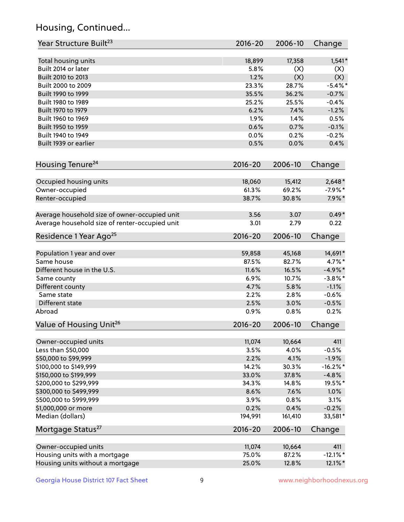## Housing, Continued...

| Year Structure Built <sup>23</sup>             | 2016-20     | 2006-10 | Change      |
|------------------------------------------------|-------------|---------|-------------|
| Total housing units                            | 18,899      | 17,358  | $1,541*$    |
| Built 2014 or later                            | 5.8%        | (X)     | (X)         |
| Built 2010 to 2013                             | 1.2%        | (X)     | (X)         |
| Built 2000 to 2009                             | 23.3%       | 28.7%   | $-5.4\%$ *  |
| Built 1990 to 1999                             | 35.5%       | 36.2%   | $-0.7%$     |
| Built 1980 to 1989                             | 25.2%       | 25.5%   | $-0.4%$     |
| Built 1970 to 1979                             | 6.2%        | 7.4%    | $-1.2%$     |
| Built 1960 to 1969                             | 1.9%        | 1.4%    | 0.5%        |
| Built 1950 to 1959                             | 0.6%        | 0.7%    | $-0.1%$     |
| Built 1940 to 1949                             | 0.0%        | 0.2%    | $-0.2%$     |
| Built 1939 or earlier                          | 0.5%        | 0.0%    | 0.4%        |
| Housing Tenure <sup>24</sup>                   | $2016 - 20$ | 2006-10 | Change      |
| Occupied housing units                         | 18,060      | 15,412  | $2,648*$    |
| Owner-occupied                                 | 61.3%       | 69.2%   | $-7.9%$ *   |
| Renter-occupied                                | 38.7%       | 30.8%   | $7.9\%*$    |
| Average household size of owner-occupied unit  | 3.56        | 3.07    | $0.49*$     |
| Average household size of renter-occupied unit | 3.01        | 2.79    | 0.22        |
| Residence 1 Year Ago <sup>25</sup>             | 2016-20     | 2006-10 | Change      |
| Population 1 year and over                     | 59,858      | 45,168  | 14,691*     |
| Same house                                     | 87.5%       | 82.7%   | $4.7\%$ *   |
| Different house in the U.S.                    | 11.6%       | 16.5%   | $-4.9\%*$   |
| Same county                                    | 6.9%        | 10.7%   | $-3.8\%$ *  |
| Different county                               | 4.7%        | 5.8%    | $-1.1%$     |
| Same state                                     | 2.2%        | 2.8%    | $-0.6%$     |
| Different state                                | 2.5%        | 3.0%    | $-0.5%$     |
| Abroad                                         | 0.9%        | 0.8%    | 0.2%        |
| Value of Housing Unit <sup>26</sup>            | $2016 - 20$ | 2006-10 | Change      |
| Owner-occupied units                           | 11,074      | 10,664  | 411         |
| Less than \$50,000                             | 3.5%        | 4.0%    | $-0.5%$     |
| \$50,000 to \$99,999                           | 2.2%        | 4.1%    | $-1.9%$     |
| \$100,000 to \$149,999                         | 14.2%       | 30.3%   | $-16.2%$ *  |
| \$150,000 to \$199,999                         | 33.0%       | 37.8%   | $-4.8%$     |
| \$200,000 to \$299,999                         | 34.3%       | 14.8%   | 19.5%*      |
| \$300,000 to \$499,999                         | 8.6%        | 7.6%    | 1.0%        |
| \$500,000 to \$999,999                         | 3.9%        | 0.8%    | 3.1%        |
| \$1,000,000 or more                            | 0.2%        | 0.4%    | $-0.2%$     |
| Median (dollars)                               | 194,991     | 161,410 | 33,581*     |
| Mortgage Status <sup>27</sup>                  | $2016 - 20$ | 2006-10 | Change      |
| Owner-occupied units                           | 11,074      | 10,664  | 411         |
| Housing units with a mortgage                  | 75.0%       | 87.2%   | $-12.1\%$ * |
| Housing units without a mortgage               | 25.0%       | 12.8%   | 12.1%*      |
|                                                |             |         |             |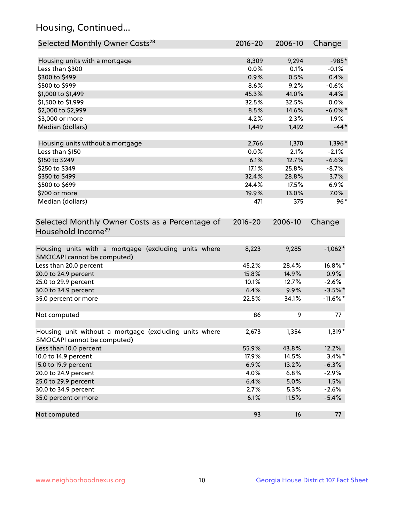## Housing, Continued...

| Selected Monthly Owner Costs <sup>28</sup>                                            | $2016 - 20$ | 2006-10 | Change      |
|---------------------------------------------------------------------------------------|-------------|---------|-------------|
| Housing units with a mortgage                                                         | 8,309       | 9,294   | $-985*$     |
| Less than \$300                                                                       | 0.0%        | 0.1%    | $-0.1%$     |
| \$300 to \$499                                                                        | 0.9%        | 0.5%    | 0.4%        |
| \$500 to \$999                                                                        | 8.6%        | 9.2%    | $-0.6%$     |
| \$1,000 to \$1,499                                                                    | 45.3%       | 41.0%   | 4.4%        |
| \$1,500 to \$1,999                                                                    | 32.5%       | 32.5%   | $0.0\%$     |
| \$2,000 to \$2,999                                                                    | 8.5%        | 14.6%   | $-6.0\%$ *  |
| \$3,000 or more                                                                       | 4.2%        | 2.3%    | $1.9\%$     |
| Median (dollars)                                                                      | 1,449       | 1,492   | $-44*$      |
| Housing units without a mortgage                                                      | 2,766       | 1,370   | 1,396*      |
| Less than \$150                                                                       | 0.0%        | 2.1%    | $-2.1%$     |
| \$150 to \$249                                                                        | 6.1%        | 12.7%   | $-6.6%$     |
| \$250 to \$349                                                                        | 17.1%       | 25.8%   | $-8.7%$     |
| \$350 to \$499                                                                        | 32.4%       | 28.8%   | 3.7%        |
| \$500 to \$699                                                                        | 24.4%       | 17.5%   | 6.9%        |
| \$700 or more                                                                         | 19.9%       | 13.0%   | 7.0%        |
| Median (dollars)                                                                      | 471         | 375     | $96*$       |
| Selected Monthly Owner Costs as a Percentage of<br>Household Income <sup>29</sup>     | $2016 - 20$ | 2006-10 | Change      |
| Housing units with a mortgage (excluding units where<br>SMOCAPI cannot be computed)   | 8,223       | 9,285   | $-1,062*$   |
| Less than 20.0 percent                                                                | 45.2%       | 28.4%   | 16.8%*      |
| 20.0 to 24.9 percent                                                                  | 15.8%       | 14.9%   | $0.9\%$     |
| 25.0 to 29.9 percent                                                                  | 10.1%       | 12.7%   | $-2.6%$     |
| 30.0 to 34.9 percent                                                                  | 6.4%        | 9.9%    | $-3.5%$ *   |
| 35.0 percent or more                                                                  | 22.5%       | 34.1%   | $-11.6\%$ * |
| Not computed                                                                          | 86          | 9       | 77          |
| Housing unit without a mortgage (excluding units where<br>SMOCAPI cannot be computed) | 2,673       | 1,354   | 1,319*      |
| Less than 10.0 percent                                                                | 55.9%       | 43.8%   | 12.2%       |
| 10.0 to 14.9 percent                                                                  | 17.9%       | 14.5%   | $3.4\%$ *   |
| 15.0 to 19.9 percent                                                                  | 6.9%        | 13.2%   | $-6.3%$     |
| 20.0 to 24.9 percent                                                                  | 4.0%        | 6.8%    | $-2.9%$     |
| 25.0 to 29.9 percent                                                                  | 6.4%        | 5.0%    | 1.5%        |
| 30.0 to 34.9 percent                                                                  | 2.7%        | 5.3%    | $-2.6%$     |
| 35.0 percent or more                                                                  | 6.1%        | 11.5%   | $-5.4%$     |
| Not computed                                                                          | 93          | 16      | 77          |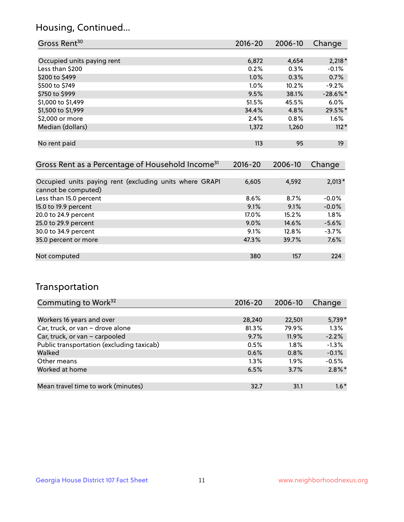## Housing, Continued...

| Gross Rent <sup>30</sup>   | 2016-20 | 2006-10 | Change      |
|----------------------------|---------|---------|-------------|
|                            |         |         |             |
| Occupied units paying rent | 6,872   | 4,654   | $2,218*$    |
| Less than \$200            | 0.2%    | 0.3%    | $-0.1%$     |
| \$200 to \$499             | 1.0%    | 0.3%    | 0.7%        |
| \$500 to \$749             | $1.0\%$ | 10.2%   | $-9.2%$     |
| \$750 to \$999             | 9.5%    | 38.1%   | $-28.6\%$ * |
| \$1,000 to \$1,499         | 51.5%   | 45.5%   | $6.0\%$     |
| \$1,500 to \$1,999         | 34.4%   | 4.8%    | 29.5%*      |
| \$2,000 or more            | 2.4%    | 0.8%    | $1.6\%$     |
| Median (dollars)           | 1,372   | 1,260   | $112*$      |
|                            |         |         |             |
| No rent paid               | 113     | 95      | 19          |

| Gross Rent as a Percentage of Household Income <sup>31</sup>                   | $2016 - 20$ | 2006-10 | Change   |
|--------------------------------------------------------------------------------|-------------|---------|----------|
|                                                                                |             |         |          |
| Occupied units paying rent (excluding units where GRAPI<br>cannot be computed) | 6,605       | 4,592   | $2,013*$ |
| Less than 15.0 percent                                                         | 8.6%        | 8.7%    | $-0.0%$  |
| 15.0 to 19.9 percent                                                           | 9.1%        | 9.1%    | $-0.0%$  |
| 20.0 to 24.9 percent                                                           | 17.0%       | 15.2%   | 1.8%     |
| 25.0 to 29.9 percent                                                           | 9.0%        | 14.6%   | $-5.6%$  |
| 30.0 to 34.9 percent                                                           | 9.1%        | 12.8%   | $-3.7%$  |
| 35.0 percent or more                                                           | 47.3%       | 39.7%   | 7.6%     |
| Not computed                                                                   | 380         | 157     | 224      |

## Transportation

| Commuting to Work <sup>32</sup>           | 2016-20 | 2006-10 | Change    |
|-------------------------------------------|---------|---------|-----------|
|                                           |         |         |           |
| Workers 16 years and over                 | 28,240  | 22,501  | 5,739*    |
| Car, truck, or van - drove alone          | 81.3%   | 79.9%   | 1.3%      |
| Car, truck, or van - carpooled            | 9.7%    | 11.9%   | $-2.2%$   |
| Public transportation (excluding taxicab) | 0.5%    | $1.8\%$ | $-1.3%$   |
| Walked                                    | 0.6%    | 0.8%    | $-0.1%$   |
| Other means                               | $1.3\%$ | $1.9\%$ | $-0.5%$   |
| Worked at home                            | 6.5%    | 3.7%    | $2.8\%$ * |
|                                           |         |         |           |
| Mean travel time to work (minutes)        | 32.7    | 31.1    | $1.6*$    |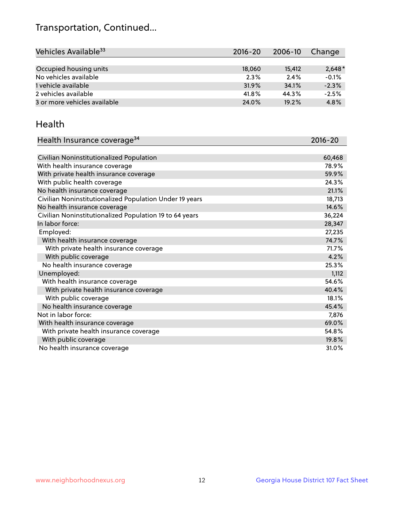## Transportation, Continued...

| Vehicles Available <sup>33</sup> | 2016-20 | 2006-10 | Change   |
|----------------------------------|---------|---------|----------|
|                                  |         |         |          |
| Occupied housing units           | 18,060  | 15,412  | $2,648*$ |
| No vehicles available            | 2.3%    | 2.4%    | $-0.1%$  |
| 1 vehicle available              | 31.9%   | 34.1%   | $-2.3%$  |
| 2 vehicles available             | 41.8%   | 44.3%   | $-2.5%$  |
| 3 or more vehicles available     | 24.0%   | 19.2%   | 4.8%     |

#### Health

| Health Insurance coverage <sup>34</sup>                 | 2016-20 |
|---------------------------------------------------------|---------|
|                                                         |         |
| Civilian Noninstitutionalized Population                | 60,468  |
| With health insurance coverage                          | 78.9%   |
| With private health insurance coverage                  | 59.9%   |
| With public health coverage                             | 24.3%   |
| No health insurance coverage                            | 21.1%   |
| Civilian Noninstitutionalized Population Under 19 years | 18,713  |
| No health insurance coverage                            | 14.6%   |
| Civilian Noninstitutionalized Population 19 to 64 years | 36,224  |
| In labor force:                                         | 28,347  |
| Employed:                                               | 27,235  |
| With health insurance coverage                          | 74.7%   |
| With private health insurance coverage                  | 71.7%   |
| With public coverage                                    | 4.2%    |
| No health insurance coverage                            | 25.3%   |
| Unemployed:                                             | 1,112   |
| With health insurance coverage                          | 54.6%   |
| With private health insurance coverage                  | 40.4%   |
| With public coverage                                    | 18.1%   |
| No health insurance coverage                            | 45.4%   |
| Not in labor force:                                     | 7,876   |
| With health insurance coverage                          | 69.0%   |
| With private health insurance coverage                  | 54.8%   |
| With public coverage                                    | 19.8%   |
| No health insurance coverage                            | 31.0%   |